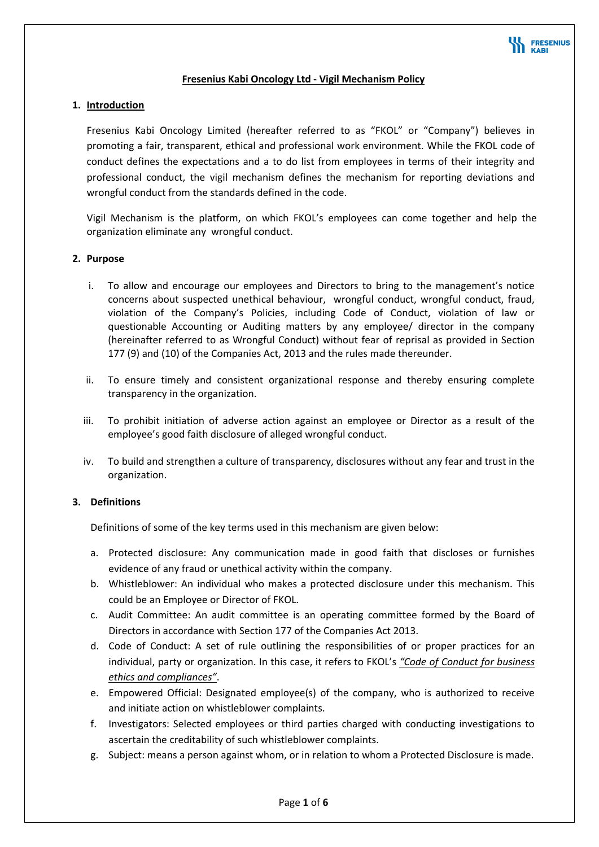

### **Fresenius Kabi Oncology Ltd ‐ Vigil Mechanism Policy**

### **1. Introduction**

Fresenius Kabi Oncology Limited (hereafter referred to as "FKOL" or "Company") believes in promoting a fair, transparent, ethical and professional work environment. While the FKOL code of conduct defines the expectations and a to do list from employees in terms of their integrity and professional conduct, the vigil mechanism defines the mechanism for reporting deviations and wrongful conduct from the standards defined in the code.

Vigil Mechanism is the platform, on which FKOL's employees can come together and help the organization eliminate any wrongful conduct.

#### **2. Purpose**

- i. To allow and encourage our employees and Directors to bring to the management's notice concerns about suspected unethical behaviour, wrongful conduct, wrongful conduct, fraud, violation of the Company's Policies, including Code of Conduct, violation of law or questionable Accounting or Auditing matters by any employee/ director in the company (hereinafter referred to as Wrongful Conduct) without fear of reprisal as provided in Section 177 (9) and (10) of the Companies Act, 2013 and the rules made thereunder.
- ii. To ensure timely and consistent organizational response and thereby ensuring complete transparency in the organization.
- iii. To prohibit initiation of adverse action against an employee or Director as a result of the employee's good faith disclosure of alleged wrongful conduct.
- iv. To build and strengthen a culture of transparency, disclosures without any fear and trust in the organization.

# **3. Definitions**

Definitions of some of the key terms used in this mechanism are given below:

- a. Protected disclosure: Any communication made in good faith that discloses or furnishes evidence of any fraud or unethical activity within the company.
- b. Whistleblower: An individual who makes a protected disclosure under this mechanism. This could be an Employee or Director of FKOL.
- c. Audit Committee: An audit committee is an operating committee formed by the Board of Directors in accordance with Section 177 of the Companies Act 2013.
- d. Code of Conduct: A set of rule outlining the responsibilities of or proper practices for an individual, party or organization. In this case, it refers to FKOL's *"Code of Conduct for business ethics and compliances"*.
- e. Empowered Official: Designated employee(s) of the company, who is authorized to receive and initiate action on whistleblower complaints.
- f. Investigators: Selected employees or third parties charged with conducting investigations to ascertain the creditability of such whistleblower complaints.
- g. Subject: means a person against whom, or in relation to whom a Protected Disclosure is made.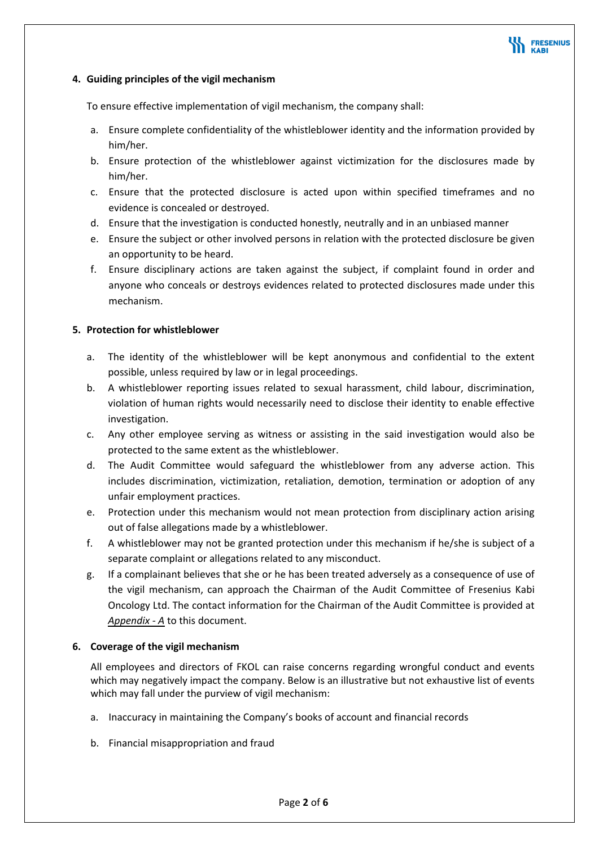

### **4. Guiding principles of the vigil mechanism**

To ensure effective implementation of vigil mechanism, the company shall:

- a. Ensure complete confidentiality of the whistleblower identity and the information provided by him/her.
- b. Ensure protection of the whistleblower against victimization for the disclosures made by him/her.
- c. Ensure that the protected disclosure is acted upon within specified timeframes and no evidence is concealed or destroyed.
- d. Ensure that the investigation is conducted honestly, neutrally and in an unbiased manner
- e. Ensure the subject or other involved persons in relation with the protected disclosure be given an opportunity to be heard.
- f. Ensure disciplinary actions are taken against the subject, if complaint found in order and anyone who conceals or destroys evidences related to protected disclosures made under this mechanism.

#### **5. Protection for whistleblower**

- a. The identity of the whistleblower will be kept anonymous and confidential to the extent possible, unless required by law or in legal proceedings.
- b. A whistleblower reporting issues related to sexual harassment, child labour, discrimination, violation of human rights would necessarily need to disclose their identity to enable effective investigation.
- c. Any other employee serving as witness or assisting in the said investigation would also be protected to the same extent as the whistleblower.
- d. The Audit Committee would safeguard the whistleblower from any adverse action. This includes discrimination, victimization, retaliation, demotion, termination or adoption of any unfair employment practices.
- e. Protection under this mechanism would not mean protection from disciplinary action arising out of false allegations made by a whistleblower.
- f. A whistleblower may not be granted protection under this mechanism if he/she is subject of a separate complaint or allegations related to any misconduct.
- g. If a complainant believes that she or he has been treated adversely as a consequence of use of the vigil mechanism, can approach the Chairman of the Audit Committee of Fresenius Kabi Oncology Ltd. The contact information for the Chairman of the Audit Committee is provided at Appendix - A to this document.

#### **6. Coverage of the vigil mechanism**

All employees and directors of FKOL can raise concerns regarding wrongful conduct and events which may negatively impact the company. Below is an illustrative but not exhaustive list of events which may fall under the purview of vigil mechanism:

- a. Inaccuracy in maintaining the Company's books of account and financial records
- b. Financial misappropriation and fraud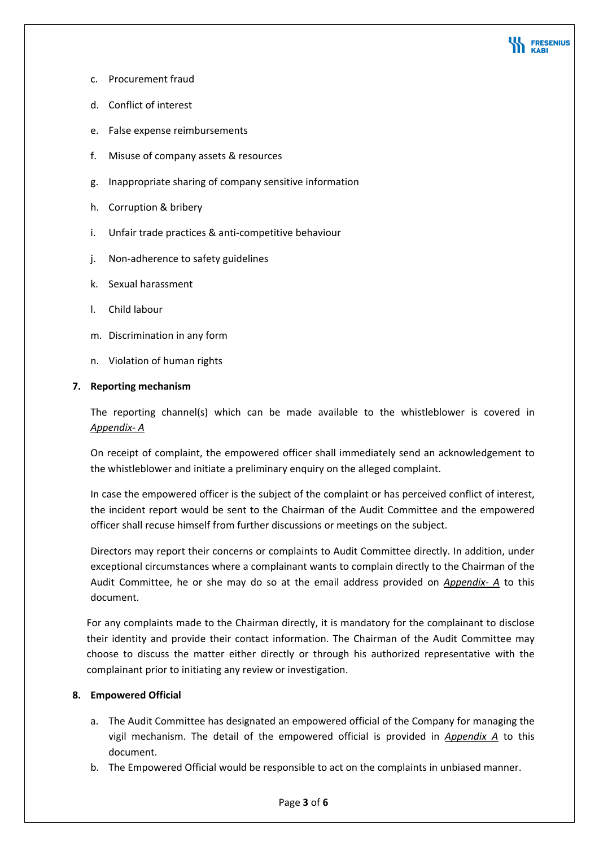

- c. Procurement fraud
- d. Conflict of interest
- e. False expense reimbursements
- f. Misuse of company assets & resources
- g. Inappropriate sharing of company sensitive information
- h. Corruption & bribery
- i. Unfair trade practices & anti‐competitive behaviour
- j. Non-adherence to safety guidelines
- k. Sexual harassment
- l. Child labour
- m. Discrimination in any form
- n. Violation of human rights

# **7. Reporting mechanism**

The reporting channel(s) which can be made available to the whistleblower is covered in *Appendix‐ A*

On receipt of complaint, the empowered officer shall immediately send an acknowledgement to the whistleblower and initiate a preliminary enquiry on the alleged complaint.

In case the empowered officer is the subject of the complaint or has perceived conflict of interest, the incident report would be sent to the Chairman of the Audit Committee and the empowered officer shall recuse himself from further discussions or meetings on the subject.

Directors may report their concerns or complaints to Audit Committee directly. In addition, under exceptional circumstances where a complainant wants to complain directly to the Chairman of the Audit Committee, he or she may do so at the email address provided on *Appendix‐ A* to this document.

For any complaints made to the Chairman directly, it is mandatory for the complainant to disclose their identity and provide their contact information. The Chairman of the Audit Committee may choose to discuss the matter either directly or through his authorized representative with the complainant prior to initiating any review or investigation.

# **8. Empowered Official**

- a. The Audit Committee has designated an empowered official of the Company for managing the vigil mechanism. The detail of the empowered official is provided in *Appendix A* to this document.
- b. The Empowered Official would be responsible to act on the complaints in unbiased manner.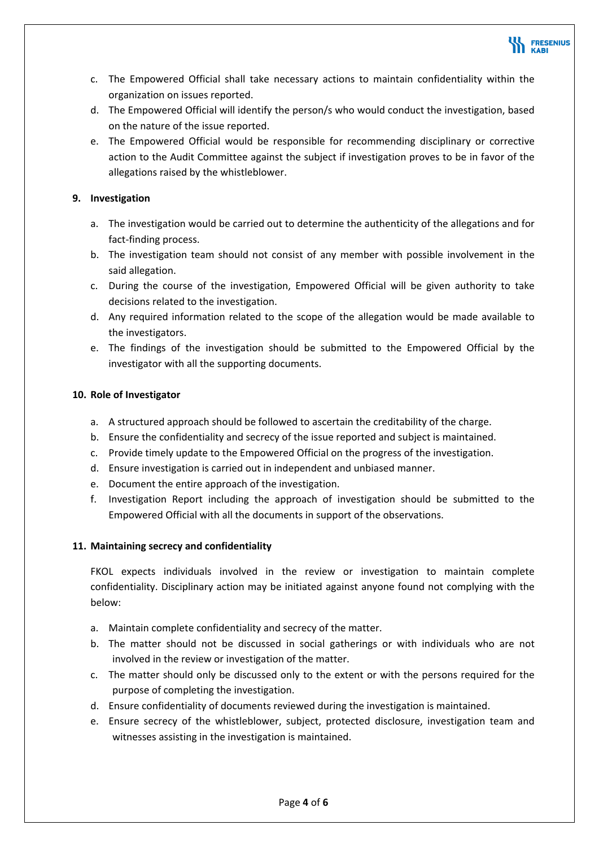

- c. The Empowered Official shall take necessary actions to maintain confidentiality within the organization on issues reported.
- d. The Empowered Official will identify the person/s who would conduct the investigation, based on the nature of the issue reported.
- e. The Empowered Official would be responsible for recommending disciplinary or corrective action to the Audit Committee against the subject if investigation proves to be in favor of the allegations raised by the whistleblower.

# **9. Investigation**

- a. The investigation would be carried out to determine the authenticity of the allegations and for fact‐finding process.
- b. The investigation team should not consist of any member with possible involvement in the said allegation.
- c. During the course of the investigation, Empowered Official will be given authority to take decisions related to the investigation.
- d. Any required information related to the scope of the allegation would be made available to the investigators.
- e. The findings of the investigation should be submitted to the Empowered Official by the investigator with all the supporting documents.

# **10. Role of Investigator**

- a. A structured approach should be followed to ascertain the creditability of the charge.
- b. Ensure the confidentiality and secrecy of the issue reported and subject is maintained.
- c. Provide timely update to the Empowered Official on the progress of the investigation.
- d. Ensure investigation is carried out in independent and unbiased manner.
- e. Document the entire approach of the investigation.
- f. Investigation Report including the approach of investigation should be submitted to the Empowered Official with all the documents in support of the observations.

# **11. Maintaining secrecy and confidentiality**

FKOL expects individuals involved in the review or investigation to maintain complete confidentiality. Disciplinary action may be initiated against anyone found not complying with the below:

- a. Maintain complete confidentiality and secrecy of the matter.
- b. The matter should not be discussed in social gatherings or with individuals who are not involved in the review or investigation of the matter.
- c. The matter should only be discussed only to the extent or with the persons required for the purpose of completing the investigation.
- d. Ensure confidentiality of documents reviewed during the investigation is maintained.
- e. Ensure secrecy of the whistleblower, subject, protected disclosure, investigation team and witnesses assisting in the investigation is maintained.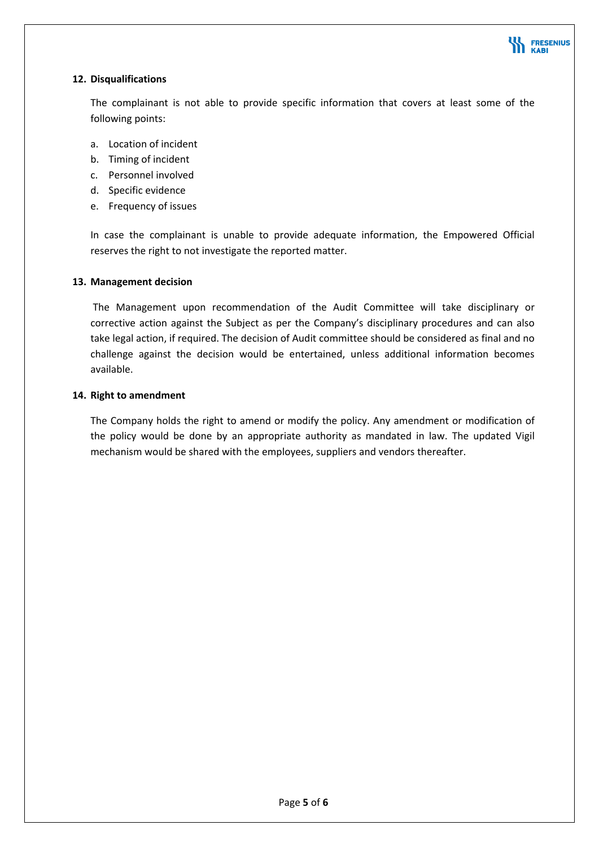

# **12. Disqualifications**

The complainant is not able to provide specific information that covers at least some of the following points:

- a. Location of incident
- b. Timing of incident
- c. Personnel involved
- d. Specific evidence
- e. Frequency of issues

In case the complainant is unable to provide adequate information, the Empowered Official reserves the right to not investigate the reported matter.

#### **13. Management decision**

The Management upon recommendation of the Audit Committee will take disciplinary or corrective action against the Subject as per the Company's disciplinary procedures and can also take legal action, if required. The decision of Audit committee should be considered as final and no challenge against the decision would be entertained, unless additional information becomes available.

#### **14. Right to amendment**

The Company holds the right to amend or modify the policy. Any amendment or modification of the policy would be done by an appropriate authority as mandated in law. The updated Vigil mechanism would be shared with the employees, suppliers and vendors thereafter.